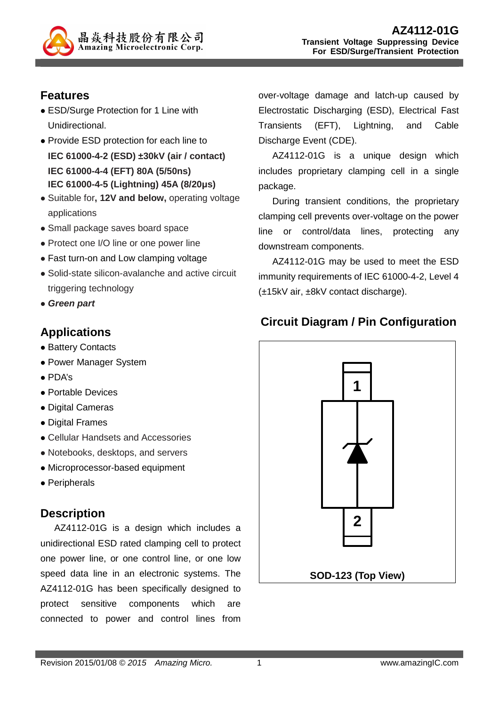

# **Features**

- ESD/Surge Protection for 1 Line with Unidirectional.
- Provide ESD protection for each line to **IEC 61000-4-2 (ESD) ±30kV (air / contact) IEC 61000-4-4 (EFT) 80A (5/50ns) IEC 61000-4-5 (Lightning) 45A (8/20µs)**
- Suitable for**, 12V and below,** operating voltage applications
- Small package saves board space
- Protect one I/O line or one power line
- Fast turn-on and Low clamping voltage
- Solid-state silicon-avalanche and active circuit triggering technology
- **Green part**

# **Applications**

- Battery Contacts
- Power Manager System
- PDA's
- Portable Devices
- Digital Cameras
- Digital Frames
- Cellular Handsets and Accessories
- Notebooks, desktops, and servers
- Microprocessor-based equipment
- Peripherals

#### **Description**

AZ4112-01G is a design which includes a unidirectional ESD rated clamping cell to protect one power line, or one control line, or one low speed data line in an electronic systems. The AZ4112-01G has been specifically designed to protect sensitive components which are connected to power and control lines from

over-voltage damage and latch-up caused by Electrostatic Discharging (ESD), Electrical Fast Transients (EFT), Lightning, and Cable Discharge Event (CDE).

AZ4112-01G is a unique design which includes proprietary clamping cell in a single package.

During transient conditions, the proprietary clamping cell prevents over-voltage on the power line or control/data lines, protecting any downstream components.

AZ4112-01G may be used to meet the ESD immunity requirements of IEC 61000-4-2, Level 4 (±15kV air, ±8kV contact discharge).

# **Circuit Diagram / Pin Configuration**

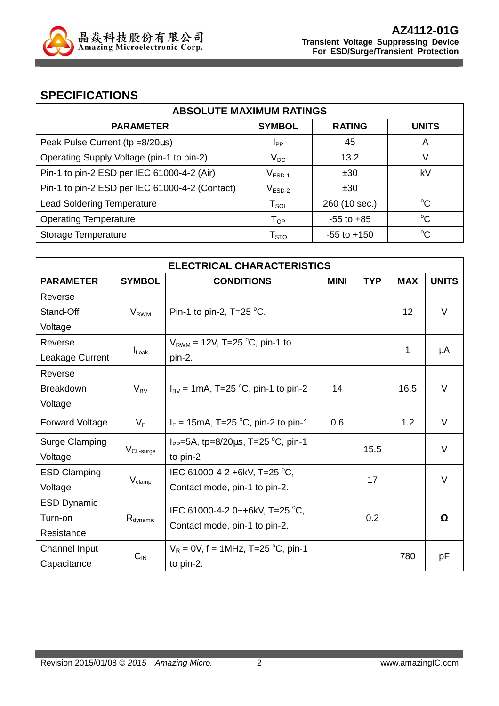

### **SPECIFICATIONS**

| <b>ABSOLUTE MAXIMUM RATINGS</b>                |                        |                 |              |
|------------------------------------------------|------------------------|-----------------|--------------|
| <b>PARAMETER</b>                               | <b>SYMBOL</b>          | <b>RATING</b>   | <b>UNITS</b> |
| Peak Pulse Current (tp =8/20µs)                | <b>I</b> <sub>PP</sub> | 45              | A            |
| Operating Supply Voltage (pin-1 to pin-2)      | $V_{DC}$               | 13.2            | V            |
| Pin-1 to pin-2 ESD per IEC 61000-4-2 (Air)     | $V_{ESD-1}$            | ±30             | kV           |
| Pin-1 to pin-2 ESD per IEC 61000-4-2 (Contact) | $V_{ESD-2}$            | ±30             |              |
| <b>Lead Soldering Temperature</b>              | $T_{\texttt{SOL}}$     | 260 (10 sec.)   | $^{\circ}C$  |
| <b>Operating Temperature</b>                   | $T_{OP}$               | $-55$ to $+85$  | °C           |
| Storage Temperature                            | ${\sf T}_{\text{STO}}$ | $-55$ to $+150$ | $^{\circ}C$  |

| <b>ELECTRICAL CHARACTERISTICS</b> |                      |                                                |             |            |                 |              |
|-----------------------------------|----------------------|------------------------------------------------|-------------|------------|-----------------|--------------|
| <b>PARAMETER</b>                  | <b>SYMBOL</b>        | <b>CONDITIONS</b>                              | <b>MINI</b> | <b>TYP</b> | <b>MAX</b>      | <b>UNITS</b> |
| Reverse                           |                      |                                                |             |            |                 |              |
| Stand-Off                         | $V_{RWM}$            | Pin-1 to pin-2, $T=25$ °C.                     |             |            | 12 <sup>2</sup> | $\vee$       |
| Voltage                           |                      |                                                |             |            |                 |              |
| Reverse                           |                      | $V_{\text{RWM}}$ = 12V, T=25 °C, pin-1 to      |             |            | 1               |              |
| Leakage Current                   | $I_{\text{L}eak}$    | pin-2.                                         |             |            |                 | μA           |
| Reverse                           |                      |                                                |             |            |                 |              |
| <b>Breakdown</b>                  | $V_{BV}$             | $I_{\text{BV}}$ = 1mA, T=25 °C, pin-1 to pin-2 | 14          |            | 16.5            | $\vee$       |
| Voltage                           |                      |                                                |             |            |                 |              |
| <b>Forward Voltage</b>            | $V_F$                | $I_F = 15 \text{mA}$ , T=25 °C, pin-2 to pin-1 | 0.6         |            | 1.2             | V            |
| Surge Clamping                    |                      | $I_{PP}$ =5A, tp=8/20 $\mu$ s, T=25 °C, pin-1  |             | 15.5       |                 | $\vee$       |
| Voltage                           | $V_{CL-surge}$       | to pin-2                                       |             |            |                 |              |
| <b>ESD Clamping</b>               |                      | IEC 61000-4-2 +6kV, T=25 °C,                   | 17          |            | V               |              |
| Voltage                           | $V_{\text{clamp}}$   | Contact mode, pin-1 to pin-2.                  |             |            |                 |              |
| <b>ESD Dynamic</b>                |                      | IEC 61000-4-2 0~+6kV, T=25 °C,                 |             |            |                 |              |
| Turn-on                           | R <sub>dynamic</sub> |                                                |             | 0.2        |                 | $\Omega$     |
| Resistance                        |                      | Contact mode, pin-1 to pin-2.                  |             |            |                 |              |
| Channel Input                     |                      | $V_R = 0V$ , f = 1MHz, T=25 °C, pin-1          |             |            | 780             |              |
| Capacitance                       | $C_{IN}$             | to pin-2.                                      |             |            |                 | рF           |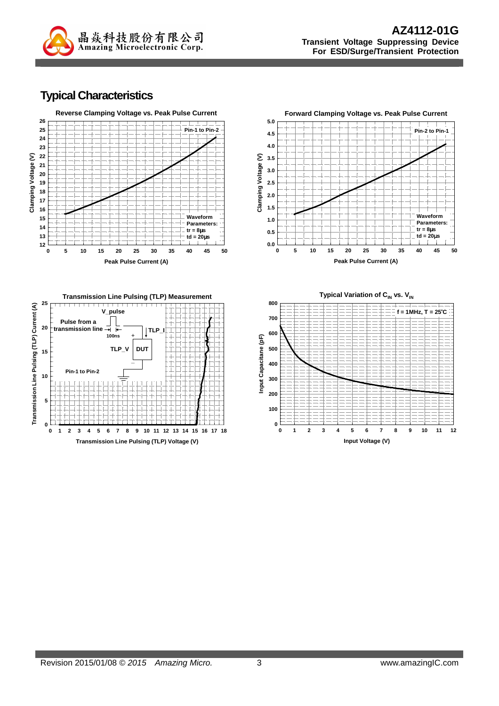

#### **Typical Characteristics**







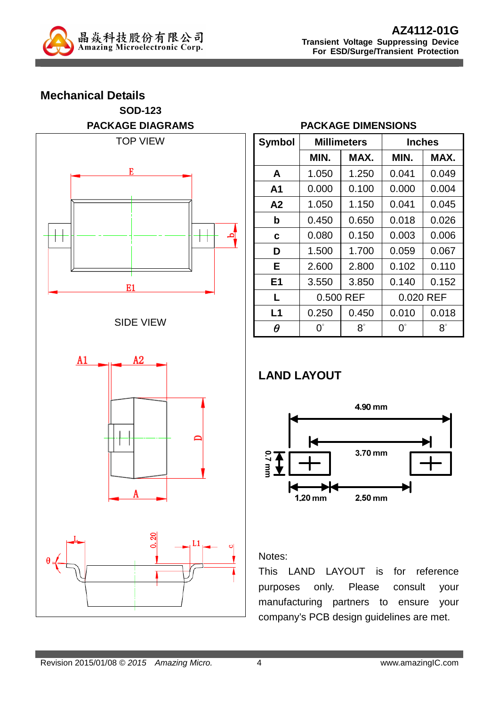

# **Mechanical Details SOD-123 PACKAGE DIAGRAMS**  TOP VIEW E



#### SIDE VIEW



#### **PACKAGE DIMENSIONS**

| <b>Symbol</b>  |                  | <b>Millimeters</b> |             | <b>Inches</b> |  |  |
|----------------|------------------|--------------------|-------------|---------------|--|--|
|                | MIN.             | MAX.               | MIN.        | MAX.          |  |  |
| A              | 1.050            | 1.250              | 0.041       | 0.049         |  |  |
| A1             | 0.000            | 0.100              | 0.000       | 0.004         |  |  |
| A2             | 1.050            | 1.150              | 0.041       | 0.045         |  |  |
| b              | 0.450            | 0.650              | 0.018       | 0.026         |  |  |
| C              | 0.080            | 0.150              | 0.003       | 0.006         |  |  |
| D              | 1.500            | 1.700              | 0.059       | 0.067         |  |  |
| Е              | 2.600            | 2.800              | 0.102       | 0.110         |  |  |
| E <sub>1</sub> | 3.550            | 3.850              | 0.140       | 0.152         |  |  |
| L              | 0.500 REF        |                    | 0.020 REF   |               |  |  |
| L1             | 0.250            | 0.450              | 0.010       | 0.018         |  |  |
| $\theta$       | $\Omega^{\circ}$ | $8^\circ$          | $0^{\circ}$ | $8^\circ$     |  |  |

# **LAND LAYOUT**



#### Notes:

This LAND LAYOUT is for reference purposes only. Please consult your manufacturing partners to ensure your company's PCB design guidelines are met.